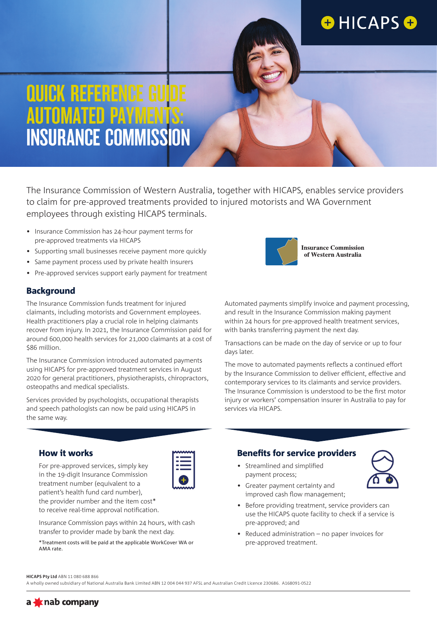## **OHICAPSO**

## QUICK REFERENCE GUIDE AUTOMATED PAYMENTS: INSURANCE COMMISSION

The Insurance Commission of Western Australia, together with HICAPS, enables service providers to claim for pre-approved treatments provided to injured motorists and WA Government employees through existing HICAPS terminals.

- Insurance Commission has 24-hour payment terms for pre-approved treatments via HICAPS
- Supporting small businesses receive payment more quickly
- Same payment process used by private health insurers
- Pre-approved services support early payment for treatment

#### **Background**

The Insurance Commission funds treatment for injured claimants, including motorists and Government employees. Health practitioners play a crucial role in helping claimants recover from injury. In 2021, the Insurance Commission paid for around 600,000 health services for 21,000 claimants at a cost of \$86 million.

The Insurance Commission introduced automated payments using HICAPS for pre-approved treatment services in August 2020 for general practitioners, physiotherapists, chiropractors, osteopaths and medical specialists.

Services provided by psychologists, occupational therapists and speech pathologists can now be paid using HICAPS in the same way.

Insurance Commission pays within 24 hours, with cash transfer to provider made by bank the next day.

\*Treatment costs will be paid at the applicable WorkCover WA or



Automated payments simplify invoice and payment processing, and result in the Insurance Commission making payment within 24 hours for pre-approved health treatment services, with banks transferring payment the next day.

Transactions can be made on the day of service or up to four days later.

The move to automated payments reflects a continued effort by the Insurance Commission to deliver efficient, effective and contemporary services to its claimants and service providers. The Insurance Commission is understood to be the first motor injury or workers' compensation insurer in Australia to pay for services via HICAPS.

#### How it works

For pre-approved services, simply key in the 19-digit Insurance Commission treatment number (equivalent to a patient's health fund card number), the provider number and the item cost\* to receive real-time approval notification.

| _      |
|--------|
| $\sim$ |
|        |

Benefits for service providers

• Streamlined and simplified payment process;



- Greater payment certainty and improved cash flow management;
- Before providing treatment, service providers can use the HICAPS quote facility to check if a service is pre-approved; and
- Reduced administration no paper invoices for pre-approved treatment.

#### **HICAPS Pty Ltd** ABN 11 080 688 866

AMA rate.

A wholly owned subsidiary of National Australia Bank Limited ABN 12 004 044 937 AFSL and Australian Credit Licence 230686. A168091-0522